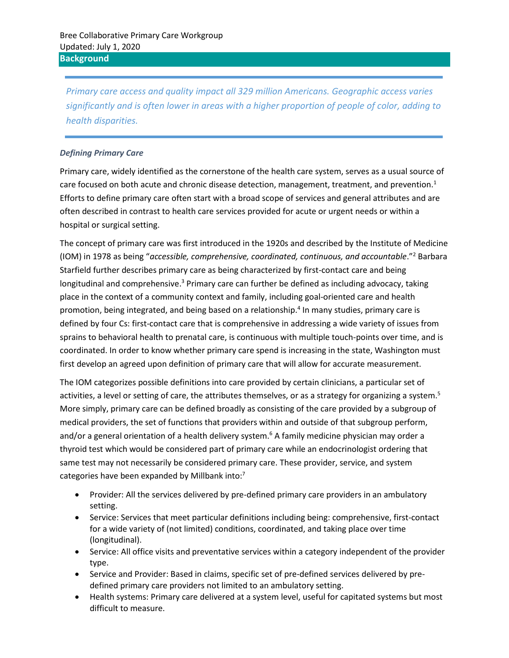*Primary care access and quality impact all 329 million Americans. Geographic access varies significantly and is often lower in areas with a higher proportion of people of color, adding to health disparities.* 

## *Defining Primary Care*

Primary care, widely identified as the cornerstone of the health care system, serves as a usual source of care focused on both acute and chronic disease detection, management, treatment, and prevention. $1$ Efforts to define primary care often start with a broad scope of services and general attributes and are often described in contrast to health care services provided for acute or urgent needs or within a hospital or surgical setting.

The concept of primary care was first introduced in the 1920s and described by the Institute of Medicine (IOM) in 1978 as being "*accessible, comprehensive, coordinated, continuous, and accountable*."<sup>2</sup> Barbara Starfield further describes primary care as being characterized by first-contact care and being longitudinal and comprehensive.<sup>3</sup> Primary care can further be defined as including advocacy, taking place in the context of a community context and family, including goal-oriented care and health promotion, being integrated, and being based on a relationship. 4 In many studies, primary care is defined by four Cs: first-contact care that is comprehensive in addressing a wide variety of issues from sprains to behavioral health to prenatal care, is continuous with multiple touch-points over time, and is coordinated. In order to know whether primary care spend is increasing in the state, Washington must first develop an agreed upon definition of primary care that will allow for accurate measurement.

The IOM categorizes possible definitions into care provided by certain clinicians, a particular set of activities, a level or setting of care, the attributes themselves, or as a strategy for organizing a system.<sup>5</sup> More simply, primary care can be defined broadly as consisting of the care provided by a subgroup of medical providers, the set of functions that providers within and outside of that subgroup perform, and/or a general orientation of a health delivery system.<sup>6</sup> A family medicine physician may order a thyroid test which would be considered part of primary care while an endocrinologist ordering that same test may not necessarily be considered primary care. These provider, service, and system categories have been expanded by Millbank into:<sup>7</sup>

- Provider: All the services delivered by pre-defined primary care providers in an ambulatory setting.
- Service: Services that meet particular definitions including being: comprehensive, first-contact for a wide variety of (not limited) conditions, coordinated, and taking place over time (longitudinal).
- Service: All office visits and preventative services within a category independent of the provider type.
- Service and Provider: Based in claims, specific set of pre-defined services delivered by predefined primary care providers not limited to an ambulatory setting.
- Health systems: Primary care delivered at a system level, useful for capitated systems but most difficult to measure.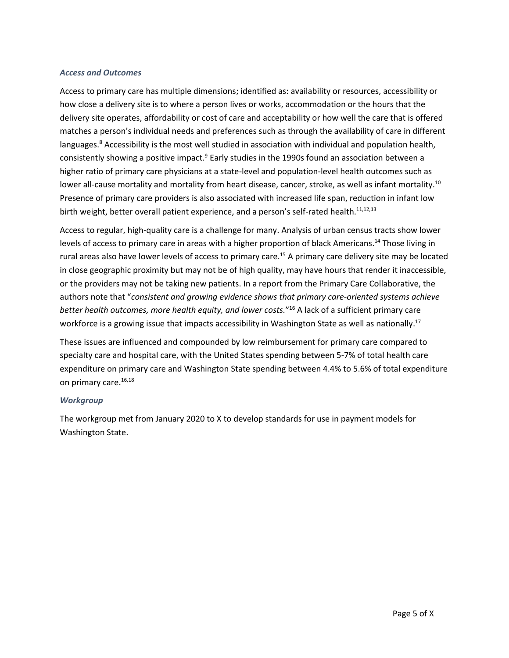## *Access and Outcomes*

Access to primary care has multiple dimensions; identified as: availability or resources, accessibility or how close a delivery site is to where a person lives or works, accommodation or the hours that the delivery site operates, affordability or cost of care and acceptability or how well the care that is offered matches a person's individual needs and preferences such as through the availability of care in different languages.<sup>8</sup> Accessibility is the most well studied in association with individual and population health, consistently showing a positive impact.<sup>9</sup> Early studies in the 1990s found an association between a higher ratio of primary care physicians at a state-level and population-level health outcomes such as lower all-cause mortality and mortality from heart disease, cancer, stroke, as well as infant mortality.<sup>10</sup> Presence of primary care providers is also associated with increased life span, reduction in infant low birth weight, better overall patient experience, and a person's self-rated health.<sup>11,12,13</sup>

Access to regular, high-quality care is a challenge for many. Analysis of urban census tracts show lower levels of access to primary care in areas with a higher proportion of black Americans.<sup>14</sup> Those living in rural areas also have lower levels of access to primary care.<sup>15</sup> A primary care delivery site may be located in close geographic proximity but may not be of high quality, may have hours that render it inaccessible, or the providers may not be taking new patients. In a report from the Primary Care Collaborative, the authors note that "*consistent and growing evidence shows that primary care-oriented systems achieve better health outcomes, more health equity, and lower costs.*" <sup>16</sup> A lack of a sufficient primary care workforce is a growing issue that impacts accessibility in Washington State as well as nationally.<sup>17</sup>

<span id="page-1-0"></span>These issues are influenced and compounded by low reimbursement for primary care compared to specialty care and hospital care, with the United States spending between 5-7% of total health care expenditure on primary care and Washington State spending between 4.4% to 5.6% of total expenditure on primary care. [16,1](#page-1-0)8

### <span id="page-1-1"></span>*Workgroup*

The workgroup met from January 2020 to X to develop standards for use in payment models for Washington State.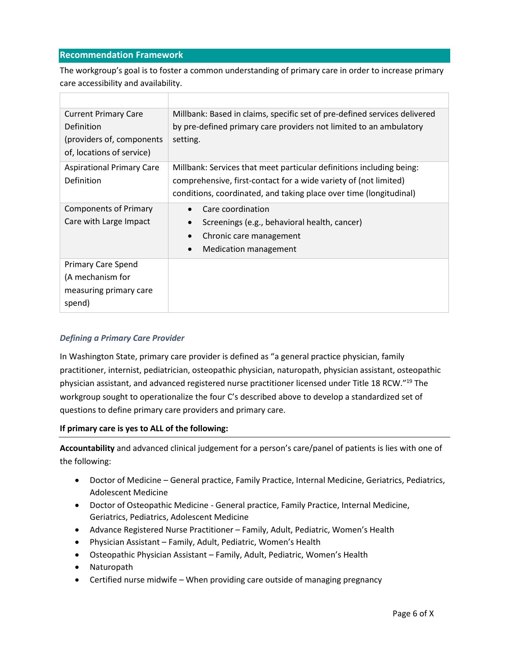## **Recommendation Framework**

The workgroup's goal is to foster a common understanding of primary care in order to increase primary care accessibility and availability.

| <b>Current Primary Care</b><br>Definition<br>(providers of, components<br>of, locations of service) | Millbank: Based in claims, specific set of pre-defined services delivered<br>by pre-defined primary care providers not limited to an ambulatory<br>setting. |
|-----------------------------------------------------------------------------------------------------|-------------------------------------------------------------------------------------------------------------------------------------------------------------|
| <b>Aspirational Primary Care</b>                                                                    | Millbank: Services that meet particular definitions including being:                                                                                        |
| Definition                                                                                          | comprehensive, first-contact for a wide variety of (not limited)                                                                                            |
|                                                                                                     | conditions, coordinated, and taking place over time (longitudinal)                                                                                          |
| <b>Components of Primary</b>                                                                        | Care coordination                                                                                                                                           |
| Care with Large Impact                                                                              | Screenings (e.g., behavioral health, cancer)                                                                                                                |
|                                                                                                     | Chronic care management<br>$\bullet$                                                                                                                        |
|                                                                                                     | <b>Medication management</b><br>$\bullet$                                                                                                                   |
| <b>Primary Care Spend</b>                                                                           |                                                                                                                                                             |
| (A mechanism for                                                                                    |                                                                                                                                                             |
| measuring primary care                                                                              |                                                                                                                                                             |
| spend)                                                                                              |                                                                                                                                                             |

## *Defining a Primary Care Provider*

In Washington State, primary care provider is defined as "a general practice physician, family practitioner, internist, pediatrician, osteopathic physician, naturopath, physician assistant, osteopathic physician assistant, and advanced registered nurse practitioner licensed under Title 18 RCW."<sup>19</sup> The workgroup sought to operationalize the four C's described above to develop a standardized set of questions to define primary care providers and primary care.

### **If primary care is yes to ALL of the following:**

**Accountability** and advanced clinical judgement for a person's care/panel of patients is lies with one of the following:

- Doctor of Medicine General practice, Family Practice, Internal Medicine, Geriatrics, Pediatrics, Adolescent Medicine
- Doctor of Osteopathic Medicine General practice, Family Practice, Internal Medicine, Geriatrics, Pediatrics, Adolescent Medicine
- Advance Registered Nurse Practitioner Family, Adult, Pediatric, Women's Health
- Physician Assistant Family, Adult, Pediatric, Women's Health
- Osteopathic Physician Assistant Family, Adult, Pediatric, Women's Health
- Naturopath
- Certified nurse midwife When providing care outside of managing pregnancy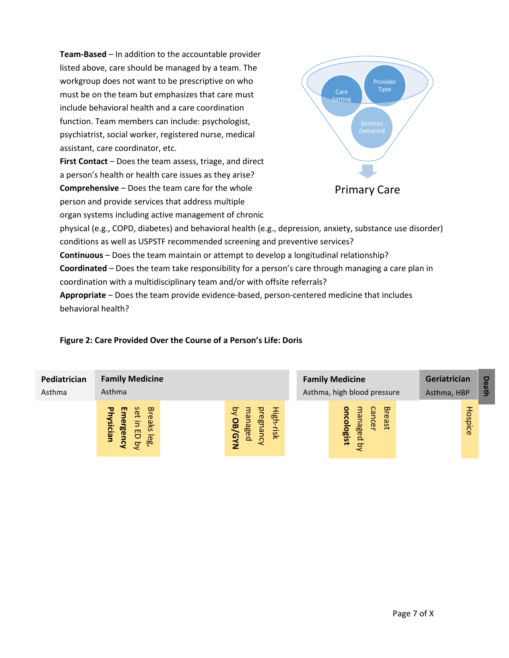**Team-Based** – In addition to the accountable provider listed above, care should be managed by a team. The workgroup does not want to be prescriptive on who must be on the team but emphasizes that care must include behavioral health and a care coordination function. Team members can include: psychologist, psychiatrist, social worker, registered nurse, medical assistant, care coordinator, etc.

**First Contact** – Does the team assess, triage, and direct a person's health or health care issues as they arise? **Comprehensive** – Does the team care for the whole person and provide services that address multiple organ systems including active management of chronic



physical (e.g., COPD, diabetes) and behavioral health (e.g., depression, anxiety, substance use disorder) conditions as well as USPSTF recommended screening and preventive services? **Continuous** – Does the team maintain or attempt to develop a longitudinal relationship? **Coordinated** – Does the team take responsibility for a person's care through managing a care plan in coordination with a multidisciplinary team and/or with offsite referrals?

**Appropriate** – Does the team provide evidence-based, person-centered medicine that includes behavioral health?

## **Figure 2: Care Provided Over the Course of a Person's Life: Doris**

| Pediatrician<br>Asthma | <b>Family Medicine</b><br>Asthma                                                              |  |                                                       |  | <b>Family Medicine</b><br>Asthma, high blood pressure |                                 |                                | Geriatrician<br>Asthma, HBP |  | Death   |  |
|------------------------|-----------------------------------------------------------------------------------------------|--|-------------------------------------------------------|--|-------------------------------------------------------|---------------------------------|--------------------------------|-----------------------------|--|---------|--|
|                        | <b>Breaks</b><br>set<br>ш<br>∍<br>E,<br>₾<br>rsician<br><b>rgenc</b><br>8<br>lego<br>$\sigma$ |  | High<br>੨<br>ੁ<br>nanaged<br>Guanc<br>OB/GYN<br>-risk |  |                                                       | ΩJ<br>8<br>paged<br>logist<br>ਤ | <b>Breast</b><br><b>Cancer</b> |                             |  | Hospice |  |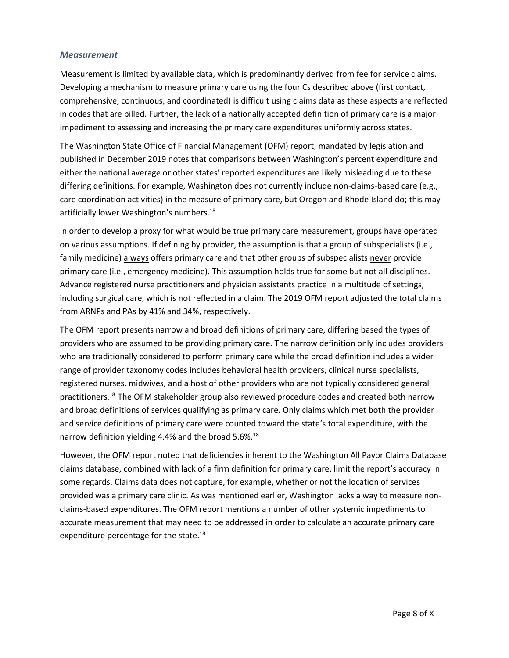## *Measurement*

Measurement is limited by available data, which is predominantly derived from fee for service claims. Developing a mechanism to measure primary care using the four Cs described above (first contact, comprehensive, continuous, and coordinated) is difficult using claims data as these aspects are reflected in codes that are billed. Further, the lack of a nationally accepted definition of primary care is a major impediment to assessing and increasing the primary care expenditures uniformly across states.

The Washington State Office of Financial Management (OFM) report, mandated by legislation and published in December 2019 notes that comparisons between Washington's percent expenditure and either the national average or other states' reported expenditures are likely misleading due to these differing definitions. For example, Washington does not currently include non-claims-based care (e.g., care coordination activities) in the measure of primary care, but Oregon and Rhode Island do; this may artificially lower Washington's numbers.<sup>[18](#page-1-1)</sup>

In order to develop a proxy for what would be true primary care measurement, groups have operated on various assumptions. If defining by provider, the assumption is that a group of subspecialists (i.e., family medicine) always offers primary care and that other groups of subspecialists never provide primary care (i.e., emergency medicine). This assumption holds true for some but not all disciplines. Advance registered nurse practitioners and physician assistants practice in a multitude of settings, including surgical care, which is not reflected in a claim. The 2019 OFM report adjusted the total claims from ARNPs and PAs by 41% and 34%, respectively.

The OFM report presents narrow and broad definitions of primary care, differing based the types of providers who are assumed to be providing primary care. The narrow definition only includes providers who are traditionally considered to perform primary care while the broad definition includes a wider range of provider taxonomy codes includes behavioral health providers, clinical nurse specialists, registered nurses, midwives, and a host of other providers who are not typically considered general practitioners. [18](#page-1-1) The OFM stakeholder group also reviewed procedure codes and created both narrow and broad definitions of services qualifying as primary care. Only claims which met both the provider and service definitions of primary care were counted toward the state's total expenditure, with the narrow definition yielding 4.4% and the broad 5.6%.<sup>[18](#page-1-1)</sup>

However, the OFM report noted that deficiencies inherent to the Washington All Payor Claims Database claims database, combined with lack of a firm definition for primary care, limit the report's accuracy in some regards. Claims data does not capture, for example, whether or not the location of services provided was a primary care clinic. As was mentioned earlier, Washington lacks a way to measure nonclaims-based expenditures. The OFM report mentions a number of other systemic impediments to accurate measurement that may need to be addressed in order to calculate an accurate primary care expenditure percentage for the state.<sup>[18](#page-1-1)</sup>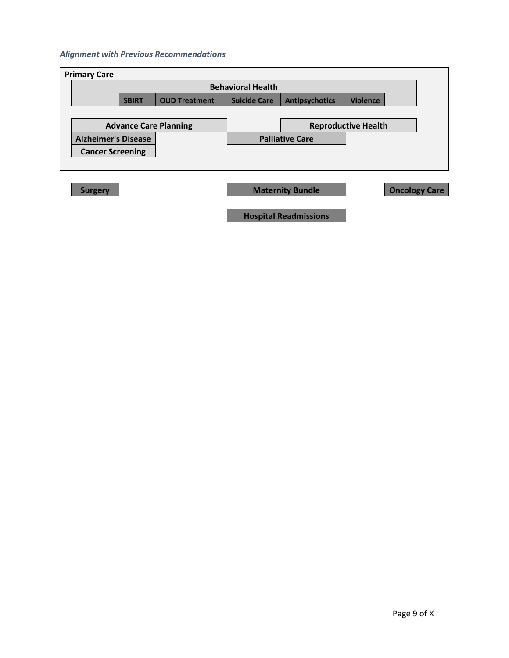## *Alignment with Previous Recommendations*

| <b>Primary Care</b>                                                                                     |  |                              |  |                        |                            |  |  |  |
|---------------------------------------------------------------------------------------------------------|--|------------------------------|--|------------------------|----------------------------|--|--|--|
| <b>Behavioral Health</b>                                                                                |  |                              |  |                        |                            |  |  |  |
| <b>Suicide Care</b><br><b>Antipsychotics</b><br><b>Violence</b><br><b>OUD Treatment</b><br><b>SBIRT</b> |  |                              |  |                        |                            |  |  |  |
|                                                                                                         |  |                              |  |                        |                            |  |  |  |
|                                                                                                         |  | <b>Advance Care Planning</b> |  |                        | <b>Reproductive Health</b> |  |  |  |
| <b>Alzheimer's Disease</b>                                                                              |  |                              |  | <b>Palliative Care</b> |                            |  |  |  |
| <b>Cancer Screening</b>                                                                                 |  |                              |  |                        |                            |  |  |  |
|                                                                                                         |  |                              |  |                        |                            |  |  |  |

| <b>Surgery</b> |  |
|----------------|--|
|                |  |

**Surgery Concology Care** Maternity Bundle Concology Care

**Hospital Readmissions**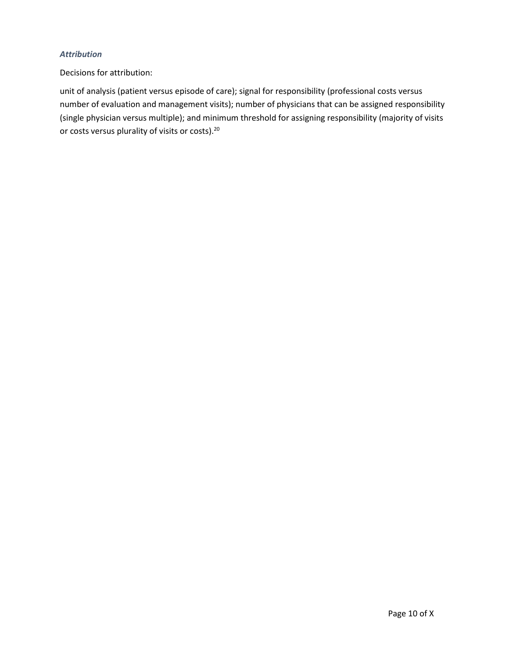## *Attribution*

Decisions for attribution:

unit of analysis (patient versus episode of care); signal for responsibility (professional costs versus number of evaluation and management visits); number of physicians that can be assigned responsibility (single physician versus multiple); and minimum threshold for assigning responsibility (majority of visits or costs versus plurality of visits or costs).20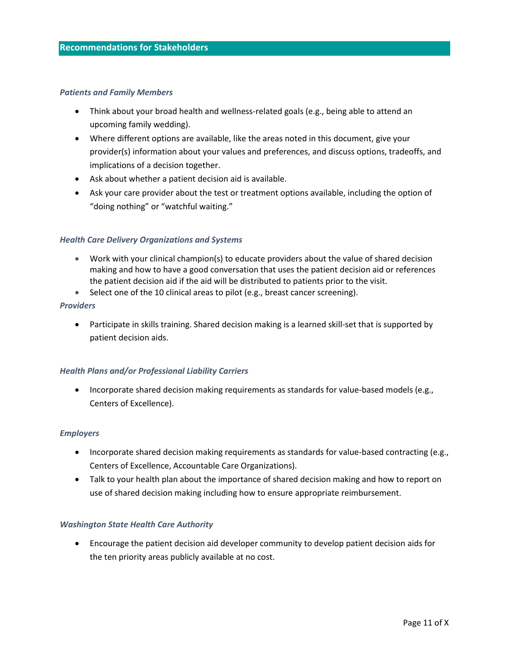#### *Patients and Family Members*

- Think about your broad health and wellness-related goals (e.g., being able to attend an upcoming family wedding).
- Where different options are available, like the areas noted in this document, give your provider(s) information about your values and preferences, and discuss options, tradeoffs, and implications of a decision together.
- Ask about whether a patient decision aid is available.
- Ask your care provider about the test or treatment options available, including the option of "doing nothing" or "watchful waiting."

### *Health Care Delivery Organizations and Systems*

- Work with your clinical champion(s) to educate providers about the value of shared decision making and how to have a good conversation that uses the patient decision aid or references the patient decision aid if the aid will be distributed to patients prior to the visit.
- Select one of the 10 clinical areas to pilot (e.g., breast cancer screening).

#### *Providers*

• Participate in skills training. Shared decision making is a learned skill-set that is supported by patient decision aids.

### *Health Plans and/or Professional Liability Carriers*

• Incorporate shared decision making requirements as standards for value-based models (e.g., Centers of Excellence).

### *Employers*

- Incorporate shared decision making requirements as standards for value-based contracting (e.g., Centers of Excellence, Accountable Care Organizations).
- Talk to your health plan about the importance of shared decision making and how to report on use of shared decision making including how to ensure appropriate reimbursement.

#### *Washington State Health Care Authority*

• Encourage the patient decision aid developer community to develop patient decision aids for the ten priority areas publicly available at no cost.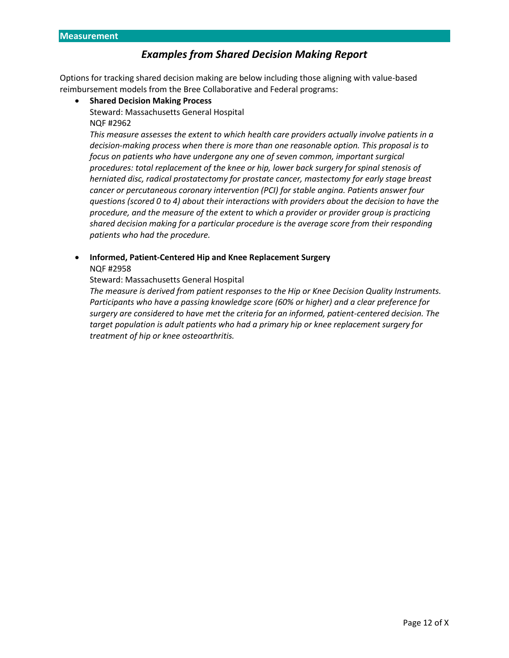# *Examples from Shared Decision Making Report*

Options for tracking shared decision making are below including those aligning with value-based reimbursement models from the Bree Collaborative and Federal programs:

- **Shared Decision Making Process**
	- Steward: Massachusetts General Hospital NQF #2962

*This measure assesses the extent to which health care providers actually involve patients in a decision-making process when there is more than one reasonable option. This proposal is to focus on patients who have undergone any one of seven common, important surgical procedures: total replacement of the knee or hip, lower back surgery for spinal stenosis of herniated disc, radical prostatectomy for prostate cancer, mastectomy for early stage breast cancer or percutaneous coronary intervention (PCI) for stable angina. Patients answer four questions (scored 0 to 4) about their interactions with providers about the decision to have the procedure, and the measure of the extent to which a provider or provider group is practicing shared decision making for a particular procedure is the average score from their responding patients who had the procedure.*

• **Informed, Patient-Centered Hip and Knee Replacement Surgery**  NQF #2958

Steward: Massachusetts General Hospital

*The measure is derived from patient responses to the Hip or Knee Decision Quality Instruments. Participants who have a passing knowledge score (60% or higher) and a clear preference for surgery are considered to have met the criteria for an informed, patient-centered decision. The target population is adult patients who had a primary hip or knee replacement surgery for treatment of hip or knee osteoarthritis.*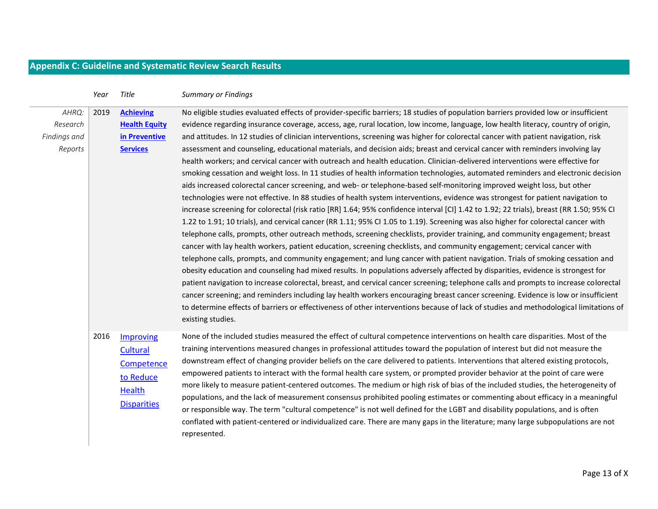# **Appendix C: Guideline and Systematic Review Search Results**

|                                              | Year | Title                                                                            | <b>Summary or Findings</b>                                                                                                                                                                                                                                                                                                                                                                                                                                                                                                                                                                                                                                                                                                                                                                                                                                                                                                                                                                                                                                                                                                                                                                                                                                                                                                                                                                                                                                                                                                                                                                                                                                                                                                                                                                                                                                                                                                                                                                                                                                                                                                                                                                                                                                                                                                               |
|----------------------------------------------|------|----------------------------------------------------------------------------------|------------------------------------------------------------------------------------------------------------------------------------------------------------------------------------------------------------------------------------------------------------------------------------------------------------------------------------------------------------------------------------------------------------------------------------------------------------------------------------------------------------------------------------------------------------------------------------------------------------------------------------------------------------------------------------------------------------------------------------------------------------------------------------------------------------------------------------------------------------------------------------------------------------------------------------------------------------------------------------------------------------------------------------------------------------------------------------------------------------------------------------------------------------------------------------------------------------------------------------------------------------------------------------------------------------------------------------------------------------------------------------------------------------------------------------------------------------------------------------------------------------------------------------------------------------------------------------------------------------------------------------------------------------------------------------------------------------------------------------------------------------------------------------------------------------------------------------------------------------------------------------------------------------------------------------------------------------------------------------------------------------------------------------------------------------------------------------------------------------------------------------------------------------------------------------------------------------------------------------------------------------------------------------------------------------------------------------------|
| AHRQ:<br>Research<br>Findings and<br>Reports | 2019 | <b>Achieving</b><br><b>Health Equity</b><br>in Preventive<br><b>Services</b>     | No eligible studies evaluated effects of provider-specific barriers; 18 studies of population barriers provided low or insufficient<br>evidence regarding insurance coverage, access, age, rural location, low income, language, low health literacy, country of origin,<br>and attitudes. In 12 studies of clinician interventions, screening was higher for colorectal cancer with patient navigation, risk<br>assessment and counseling, educational materials, and decision aids; breast and cervical cancer with reminders involving lay<br>health workers; and cervical cancer with outreach and health education. Clinician-delivered interventions were effective for<br>smoking cessation and weight loss. In 11 studies of health information technologies, automated reminders and electronic decision<br>aids increased colorectal cancer screening, and web- or telephone-based self-monitoring improved weight loss, but other<br>technologies were not effective. In 88 studies of health system interventions, evidence was strongest for patient navigation to<br>increase screening for colorectal (risk ratio [RR] 1.64; 95% confidence interval [CI] 1.42 to 1.92; 22 trials), breast (RR 1.50; 95% CI<br>1.22 to 1.91; 10 trials), and cervical cancer (RR 1.11; 95% CI 1.05 to 1.19). Screening was also higher for colorectal cancer with<br>telephone calls, prompts, other outreach methods, screening checklists, provider training, and community engagement; breast<br>cancer with lay health workers, patient education, screening checklists, and community engagement; cervical cancer with<br>telephone calls, prompts, and community engagement; and lung cancer with patient navigation. Trials of smoking cessation and<br>obesity education and counseling had mixed results. In populations adversely affected by disparities, evidence is strongest for<br>patient navigation to increase colorectal, breast, and cervical cancer screening; telephone calls and prompts to increase colorectal<br>cancer screening; and reminders including lay health workers encouraging breast cancer screening. Evidence is low or insufficient<br>to determine effects of barriers or effectiveness of other interventions because of lack of studies and methodological limitations of<br>existing studies. |
|                                              | 2016 | Improving<br>Cultural<br>Competence<br>to Reduce<br>Health<br><b>Disparities</b> | None of the included studies measured the effect of cultural competence interventions on health care disparities. Most of the<br>training interventions measured changes in professional attitudes toward the population of interest but did not measure the<br>downstream effect of changing provider beliefs on the care delivered to patients. Interventions that altered existing protocols,<br>empowered patients to interact with the formal health care system, or prompted provider behavior at the point of care were<br>more likely to measure patient-centered outcomes. The medium or high risk of bias of the included studies, the heterogeneity of<br>populations, and the lack of measurement consensus prohibited pooling estimates or commenting about efficacy in a meaningful<br>or responsible way. The term "cultural competence" is not well defined for the LGBT and disability populations, and is often<br>conflated with patient-centered or individualized care. There are many gaps in the literature; many large subpopulations are not<br>represented.                                                                                                                                                                                                                                                                                                                                                                                                                                                                                                                                                                                                                                                                                                                                                                                                                                                                                                                                                                                                                                                                                                                                                                                                                                                    |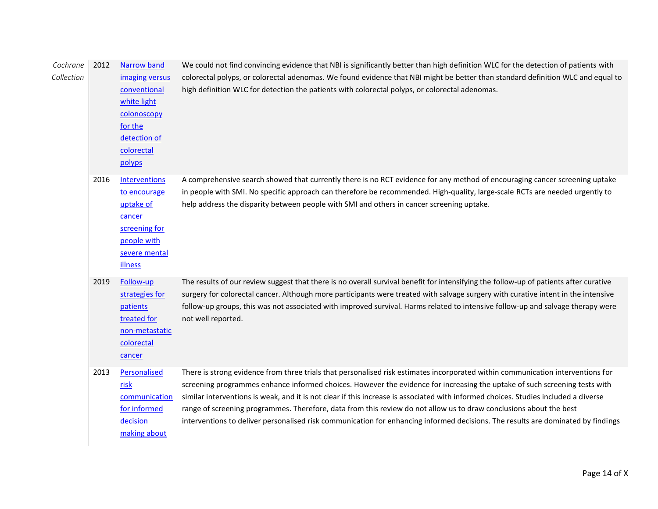| Cochrane<br>Collection | 2012 | <b>Narrow band</b><br>imaging versus<br>conventional<br>white light<br>colonoscopy<br>for the<br>detection of<br>colorectal<br>polyps | We could not find convincing evidence that NBI is significantly better than high definition WLC for the detection of patients with<br>colorectal polyps, or colorectal adenomas. We found evidence that NBI might be better than standard definition WLC and equal to<br>high definition WLC for detection the patients with colorectal polyps, or colorectal adenomas.                                                                                                                                                                                                                                                                                        |
|------------------------|------|---------------------------------------------------------------------------------------------------------------------------------------|----------------------------------------------------------------------------------------------------------------------------------------------------------------------------------------------------------------------------------------------------------------------------------------------------------------------------------------------------------------------------------------------------------------------------------------------------------------------------------------------------------------------------------------------------------------------------------------------------------------------------------------------------------------|
|                        | 2016 | <b>Interventions</b><br>to encourage<br>uptake of<br>cancer<br>screening for<br>people with<br>severe mental<br><b>illness</b>        | A comprehensive search showed that currently there is no RCT evidence for any method of encouraging cancer screening uptake<br>in people with SMI. No specific approach can therefore be recommended. High-quality, large-scale RCTs are needed urgently to<br>help address the disparity between people with SMI and others in cancer screening uptake.                                                                                                                                                                                                                                                                                                       |
|                        | 2019 | Follow-up<br>strategies for<br>patients<br>treated for<br>non-metastatic<br>colorectal<br>cancer                                      | The results of our review suggest that there is no overall survival benefit for intensifying the follow-up of patients after curative<br>surgery for colorectal cancer. Although more participants were treated with salvage surgery with curative intent in the intensive<br>follow-up groups, this was not associated with improved survival. Harms related to intensive follow-up and salvage therapy were<br>not well reported.                                                                                                                                                                                                                            |
|                        | 2013 | Personalised<br>risk<br>communication<br>for informed<br>decision<br>making about                                                     | There is strong evidence from three trials that personalised risk estimates incorporated within communication interventions for<br>screening programmes enhance informed choices. However the evidence for increasing the uptake of such screening tests with<br>similar interventions is weak, and it is not clear if this increase is associated with informed choices. Studies included a diverse<br>range of screening programmes. Therefore, data from this review do not allow us to draw conclusions about the best<br>interventions to deliver personalised risk communication for enhancing informed decisions. The results are dominated by findings |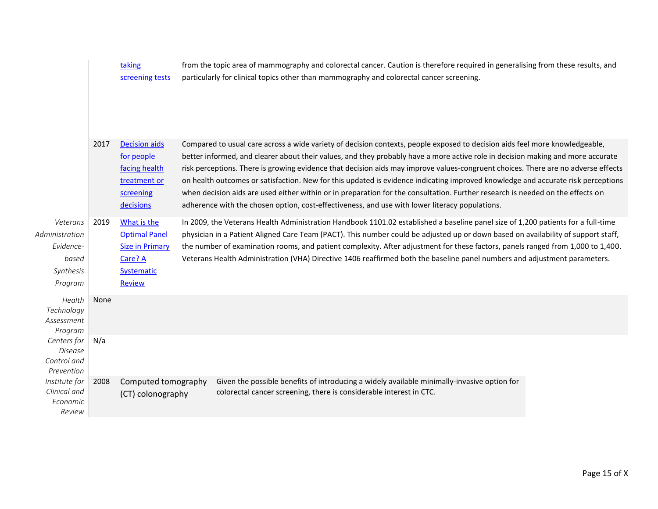|                               |      | taking                 | from the topic area of mammography and colorectal cancer. Caution is therefore required in generalising from these results, and   |  |
|-------------------------------|------|------------------------|-----------------------------------------------------------------------------------------------------------------------------------|--|
|                               |      | screening tests        | particularly for clinical topics other than mammography and colorectal cancer screening.                                          |  |
|                               |      |                        |                                                                                                                                   |  |
|                               |      |                        |                                                                                                                                   |  |
|                               | 2017 | <b>Decision aids</b>   | Compared to usual care across a wide variety of decision contexts, people exposed to decision aids feel more knowledgeable,       |  |
|                               |      | for people             | better informed, and clearer about their values, and they probably have a more active role in decision making and more accurate   |  |
|                               |      | facing health          | risk perceptions. There is growing evidence that decision aids may improve values-congruent choices. There are no adverse effects |  |
|                               |      | treatment or           | on health outcomes or satisfaction. New for this updated is evidence indicating improved knowledge and accurate risk perceptions  |  |
|                               |      | screening              | when decision aids are used either within or in preparation for the consultation. Further research is needed on the effects on    |  |
|                               |      | decisions              | adherence with the chosen option, cost-effectiveness, and use with lower literacy populations.                                    |  |
| Veterans                      | 2019 | What is the            | In 2009, the Veterans Health Administration Handbook 1101.02 established a baseline panel size of 1,200 patients for a full-time  |  |
| Administration                |      | <b>Optimal Panel</b>   | physician in a Patient Aligned Care Team (PACT). This number could be adjusted up or down based on availability of support staff, |  |
| Evidence-                     |      | <b>Size in Primary</b> | the number of examination rooms, and patient complexity. After adjustment for these factors, panels ranged from 1,000 to 1,400.   |  |
| based                         |      | Care? A                | Veterans Health Administration (VHA) Directive 1406 reaffirmed both the baseline panel numbers and adjustment parameters.         |  |
| Synthesis                     |      | <b>Systematic</b>      |                                                                                                                                   |  |
| Program                       |      | Review                 |                                                                                                                                   |  |
| Health                        | None |                        |                                                                                                                                   |  |
| Technology                    |      |                        |                                                                                                                                   |  |
| Assessment<br>Program         |      |                        |                                                                                                                                   |  |
| Centers for                   | N/a  |                        |                                                                                                                                   |  |
| <b>Disease</b>                |      |                        |                                                                                                                                   |  |
| Control and                   |      |                        |                                                                                                                                   |  |
| Prevention                    |      |                        |                                                                                                                                   |  |
| Institute for<br>Clinical and | 2008 | Computed tomography    | Given the possible benefits of introducing a widely available minimally-invasive option for                                       |  |
| Economic                      |      | (CT) colonography      | colorectal cancer screening, there is considerable interest in CTC.                                                               |  |
| Review                        |      |                        |                                                                                                                                   |  |